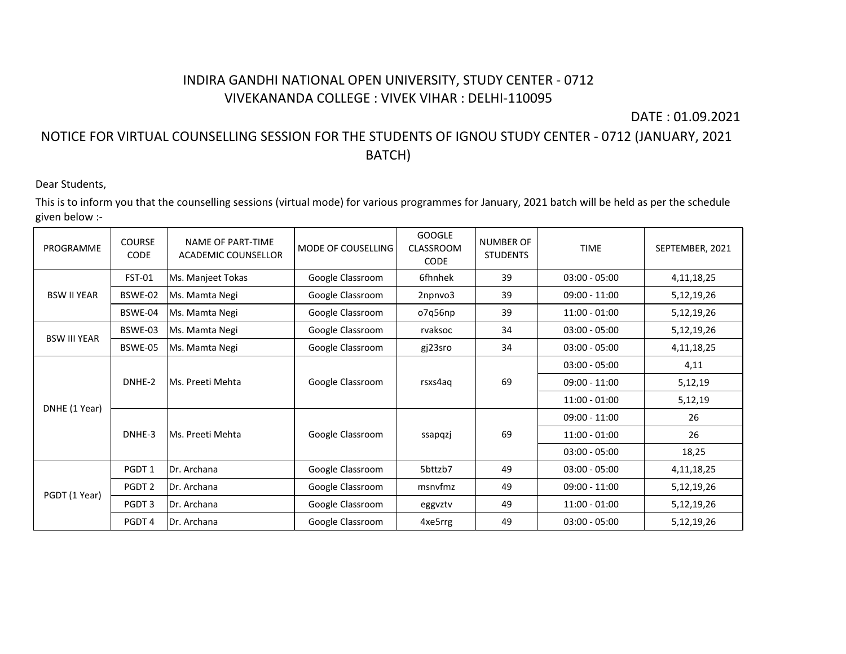## INDIRA GANDHI NATIONAL OPEN UNIVERSITY, STUDY CENTER - 0712 VIVEKANANDA COLLEGE : VIVEK VIHAR : DELHI-110095

DATE : 01.09.2021

## NOTICE FOR VIRTUAL COUNSELLING SESSION FOR THE STUDENTS OF IGNOU STUDY CENTER - 0712 (JANUARY, 2021 BATCH)

## Dear Students,

This is to inform you that the counselling sessions (virtual mode) for various programmes for January, 2021 batch will be held as per the schedule given below :-

| PROGRAMME           | <b>COURSE</b><br><b>CODE</b> | NAME OF PART-TIME<br><b>ACADEMIC COUNSELLOR</b> | MODE OF COUSELLING | <b>GOOGLE</b><br>CLASSROOM<br><b>CODE</b> | <b>NUMBER OF</b><br><b>STUDENTS</b> | <b>TIME</b>     | SEPTEMBER, 2021 |
|---------------------|------------------------------|-------------------------------------------------|--------------------|-------------------------------------------|-------------------------------------|-----------------|-----------------|
|                     | FST-01                       | Ms. Manjeet Tokas                               | Google Classroom   | 6fhnhek                                   | 39                                  | $03:00 - 05:00$ | 4, 11, 18, 25   |
| <b>BSW II YEAR</b>  | BSWE-02                      | Ms. Mamta Negi                                  | Google Classroom   | 2npnvo3                                   | 39                                  | $09:00 - 11:00$ | 5,12,19,26      |
|                     | BSWE-04                      | Ms. Mamta Negi                                  | Google Classroom   | o7q56np                                   | 39                                  | $11:00 - 01:00$ | 5,12,19,26      |
| <b>BSW III YEAR</b> | BSWE-03                      | Ms. Mamta Negi                                  | Google Classroom   | rvaksoc                                   | 34                                  | $03:00 - 05:00$ | 5,12,19,26      |
|                     | BSWE-05                      | Ms. Mamta Negi                                  | Google Classroom   | gj23sro                                   | 34                                  | $03:00 - 05:00$ | 4, 11, 18, 25   |
| DNHE (1 Year)       | DNHE-2                       | Ms. Preeti Mehta                                | Google Classroom   | rsxs4aq                                   | 69                                  | $03:00 - 05:00$ | 4,11            |
|                     |                              |                                                 |                    |                                           |                                     | $09:00 - 11:00$ | 5,12,19         |
|                     |                              |                                                 |                    |                                           |                                     | $11:00 - 01:00$ | 5,12,19         |
|                     | DNHE-3                       | Ms. Preeti Mehta                                | Google Classroom   | ssapqzj                                   | 69                                  | $09:00 - 11:00$ | 26              |
|                     |                              |                                                 |                    |                                           |                                     | $11:00 - 01:00$ | 26              |
|                     |                              |                                                 |                    |                                           |                                     | $03:00 - 05:00$ | 18,25           |
| PGDT (1 Year)       | PGDT <sub>1</sub>            | Dr. Archana                                     | Google Classroom   | 5bttzb7                                   | 49                                  | $03:00 - 05:00$ | 4, 11, 18, 25   |
|                     | PGDT <sub>2</sub>            | Dr. Archana                                     | Google Classroom   | msnyfmz                                   | 49                                  | $09:00 - 11:00$ | 5,12,19,26      |
|                     | PGDT <sub>3</sub>            | Dr. Archana                                     | Google Classroom   | eggvztv                                   | 49                                  | $11:00 - 01:00$ | 5,12,19,26      |
|                     | PGDT 4                       | Dr. Archana                                     | Google Classroom   | 4xe5rrg                                   | 49                                  | $03:00 - 05:00$ | 5,12,19,26      |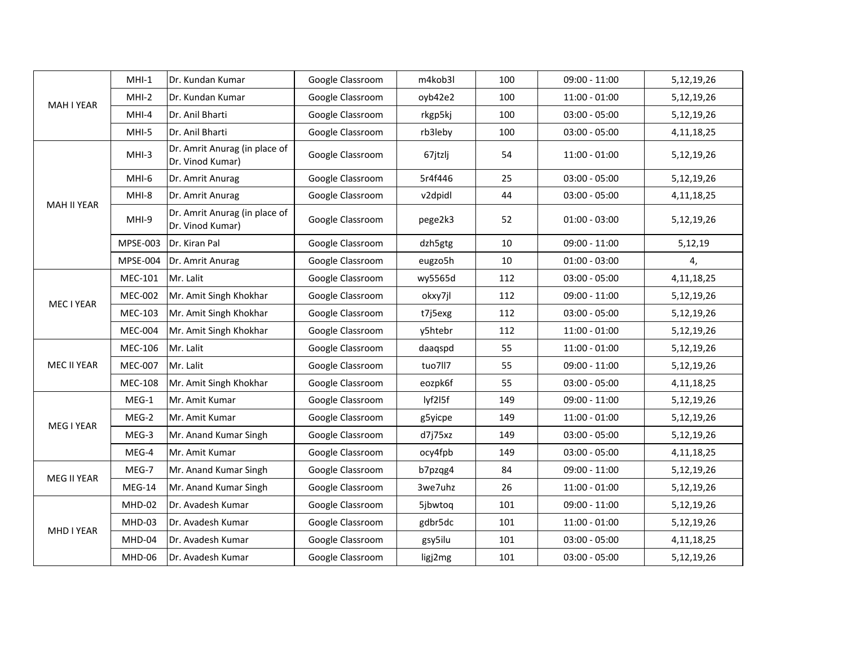| <b>MAH I YEAR</b>  | $MHI-1$         | Dr. Kundan Kumar                                  | Google Classroom | m4kob3l | 100 | $09:00 - 11:00$ | 5,12,19,26    |
|--------------------|-----------------|---------------------------------------------------|------------------|---------|-----|-----------------|---------------|
|                    | $MHI-2$         | Dr. Kundan Kumar                                  | Google Classroom | oyb42e2 | 100 | $11:00 - 01:00$ | 5,12,19,26    |
|                    | MHI-4           | Dr. Anil Bharti                                   | Google Classroom | rkgp5kj | 100 | $03:00 - 05:00$ | 5,12,19,26    |
|                    | MHI-5           | Dr. Anil Bharti                                   | Google Classroom | rb3leby | 100 | $03:00 - 05:00$ | 4, 11, 18, 25 |
|                    | MHI-3           | Dr. Amrit Anurag (in place of<br>Dr. Vinod Kumar) | Google Classroom | 67jtzlj | 54  | $11:00 - 01:00$ | 5,12,19,26    |
|                    | MHI-6           | Dr. Amrit Anurag                                  | Google Classroom | 5r4f446 | 25  | $03:00 - 05:00$ | 5,12,19,26    |
|                    | MHI-8           | Dr. Amrit Anurag                                  | Google Classroom | v2dpidl | 44  | $03:00 - 05:00$ | 4, 11, 18, 25 |
| <b>MAH II YEAR</b> | MHI-9           | Dr. Amrit Anurag (in place of<br>Dr. Vinod Kumar) | Google Classroom | pege2k3 | 52  | $01:00 - 03:00$ | 5,12,19,26    |
|                    | <b>MPSE-003</b> | Dr. Kiran Pal                                     | Google Classroom | dzh5gtg | 10  | $09:00 - 11:00$ | 5,12,19       |
|                    | <b>MPSE-004</b> | Dr. Amrit Anurag                                  | Google Classroom | eugzo5h | 10  | $01:00 - 03:00$ | 4,            |
|                    | MEC-101         | Mr. Lalit                                         | Google Classroom | wy5565d | 112 | $03:00 - 05:00$ | 4,11,18,25    |
| MEC I YEAR         | <b>MEC-002</b>  | Mr. Amit Singh Khokhar                            | Google Classroom | okxy7jl | 112 | $09:00 - 11:00$ | 5,12,19,26    |
|                    | <b>MEC-103</b>  | Mr. Amit Singh Khokhar                            | Google Classroom | t7j5exg | 112 | $03:00 - 05:00$ | 5,12,19,26    |
|                    | <b>MEC-004</b>  | Mr. Amit Singh Khokhar                            | Google Classroom | y5htebr | 112 | $11:00 - 01:00$ | 5,12,19,26    |
|                    | <b>MEC-106</b>  | Mr. Lalit                                         | Google Classroom | daaqspd | 55  | $11:00 - 01:00$ | 5,12,19,26    |
| MEC II YEAR        | <b>MEC-007</b>  | Mr. Lalit                                         | Google Classroom | tuo7ll7 | 55  | $09:00 - 11:00$ | 5,12,19,26    |
|                    | <b>MEC-108</b>  | Mr. Amit Singh Khokhar                            | Google Classroom | eozpk6f | 55  | $03:00 - 05:00$ | 4, 11, 18, 25 |
|                    | $MEG-1$         | Mr. Amit Kumar                                    | Google Classroom | lyf2l5f | 149 | $09:00 - 11:00$ | 5,12,19,26    |
| MEG I YEAR         | MEG-2           | Mr. Amit Kumar                                    | Google Classroom | g5yicpe | 149 | $11:00 - 01:00$ | 5,12,19,26    |
|                    | MEG-3           | Mr. Anand Kumar Singh                             | Google Classroom | d7j75xz | 149 | $03:00 - 05:00$ | 5,12,19,26    |
|                    | MEG-4           | Mr. Amit Kumar                                    | Google Classroom | ocy4fpb | 149 | $03:00 - 05:00$ | 4, 11, 18, 25 |
| MEG II YEAR        | MEG-7           | Mr. Anand Kumar Singh                             | Google Classroom | b7pzqg4 | 84  | $09:00 - 11:00$ | 5,12,19,26    |
|                    | MEG-14          | Mr. Anand Kumar Singh                             | Google Classroom | 3we7uhz | 26  | $11:00 - 01:00$ | 5,12,19,26    |
| MHD I YEAR         | MHD-02          | Dr. Avadesh Kumar                                 | Google Classroom | 5jbwtog | 101 | $09:00 - 11:00$ | 5,12,19,26    |
|                    | MHD-03          | Dr. Avadesh Kumar                                 | Google Classroom | gdbr5dc | 101 | $11:00 - 01:00$ | 5,12,19,26    |
|                    | MHD-04          | Dr. Avadesh Kumar                                 | Google Classroom | gsy5ilu | 101 | $03:00 - 05:00$ | 4, 11, 18, 25 |
|                    | MHD-06          | Dr. Avadesh Kumar                                 | Google Classroom | ligj2mg | 101 | $03:00 - 05:00$ | 5,12,19,26    |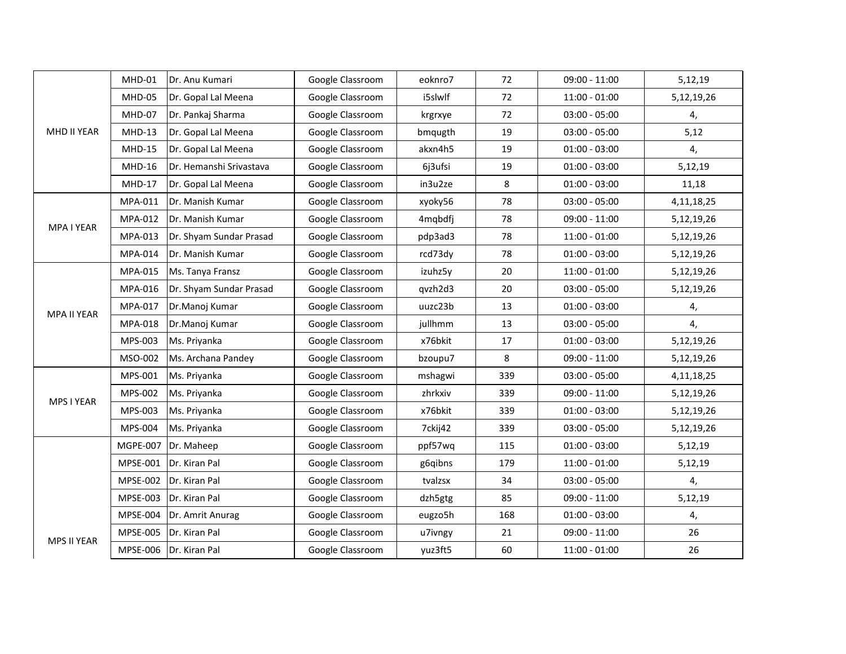|             | MHD-01          | Dr. Anu Kumari          | Google Classroom | eoknro7 | 72  | $09:00 - 11:00$ | 5,12,19       |
|-------------|-----------------|-------------------------|------------------|---------|-----|-----------------|---------------|
|             | MHD-05          | Dr. Gopal Lal Meena     | Google Classroom | i5slwlf | 72  | $11:00 - 01:00$ | 5,12,19,26    |
|             | MHD-07          | Dr. Pankaj Sharma       | Google Classroom | krgrxye | 72  | $03:00 - 05:00$ | 4,            |
| MHD II YEAR | $MHD-13$        | Dr. Gopal Lal Meena     | Google Classroom | bmqugth | 19  | $03:00 - 05:00$ | 5,12          |
|             | <b>MHD-15</b>   | Dr. Gopal Lal Meena     | Google Classroom | akxn4h5 | 19  | $01:00 - 03:00$ | 4,            |
|             | <b>MHD-16</b>   | Dr. Hemanshi Srivastava | Google Classroom | 6j3ufsi | 19  | $01:00 - 03:00$ | 5,12,19       |
|             | $MHD-17$        | Dr. Gopal Lal Meena     | Google Classroom | in3u2ze | 8   | $01:00 - 03:00$ | 11,18         |
|             | MPA-011         | Dr. Manish Kumar        | Google Classroom | xyoky56 | 78  | $03:00 - 05:00$ | 4, 11, 18, 25 |
| MPA I YEAR  | MPA-012         | Dr. Manish Kumar        | Google Classroom | 4mqbdfj | 78  | $09:00 - 11:00$ | 5,12,19,26    |
|             | MPA-013         | Dr. Shyam Sundar Prasad | Google Classroom | pdp3ad3 | 78  | $11:00 - 01:00$ | 5,12,19,26    |
|             | MPA-014         | Dr. Manish Kumar        | Google Classroom | rcd73dy | 78  | $01:00 - 03:00$ | 5,12,19,26    |
|             | MPA-015         | Ms. Tanya Fransz        | Google Classroom | izuhz5y | 20  | $11:00 - 01:00$ | 5,12,19,26    |
|             | MPA-016         | Dr. Shyam Sundar Prasad | Google Classroom | qvzh2d3 | 20  | $03:00 - 05:00$ | 5,12,19,26    |
| MPA II YEAR | MPA-017         | Dr.Manoj Kumar          | Google Classroom | uuzc23b | 13  | $01:00 - 03:00$ | 4,            |
|             | MPA-018         | Dr.Manoj Kumar          | Google Classroom | jullhmm | 13  | $03:00 - 05:00$ | 4,            |
|             | MPS-003         | Ms. Priyanka            | Google Classroom | x76bkit | 17  | $01:00 - 03:00$ | 5,12,19,26    |
|             | MSO-002         | Ms. Archana Pandey      | Google Classroom | bzoupu7 | 8   | $09:00 - 11:00$ | 5,12,19,26    |
|             | MPS-001         | Ms. Priyanka            | Google Classroom | mshagwi | 339 | $03:00 - 05:00$ | 4, 11, 18, 25 |
|             | MPS-002         | Ms. Priyanka            | Google Classroom | zhrkxiv | 339 | $09:00 - 11:00$ | 5,12,19,26    |
| MPS I YEAR  | MPS-003         | Ms. Priyanka            | Google Classroom | x76bkit | 339 | $01:00 - 03:00$ | 5,12,19,26    |
|             | MPS-004         | Ms. Priyanka            | Google Classroom | 7ckij42 | 339 | $03:00 - 05:00$ | 5,12,19,26    |
|             | MGPE-007        | Dr. Maheep              | Google Classroom | ppf57wq | 115 | $01:00 - 03:00$ | 5,12,19       |
|             | MPSE-001        | Dr. Kiran Pal           | Google Classroom | g6qibns | 179 | $11:00 - 01:00$ | 5,12,19       |
|             | MPSE-002        | Dr. Kiran Pal           | Google Classroom | tvalzsx | 34  | $03:00 - 05:00$ | 4,            |
|             | MPSE-003        | Dr. Kiran Pal           | Google Classroom | dzh5gtg | 85  | $09:00 - 11:00$ | 5,12,19       |
|             | MPSE-004        | Dr. Amrit Anurag        | Google Classroom | eugzo5h | 168 | $01:00 - 03:00$ | 4,            |
|             | <b>MPSE-005</b> | Dr. Kiran Pal           | Google Classroom | u7ivngy | 21  | $09:00 - 11:00$ | 26            |
| MPS II YEAR | MPSE-006        | Dr. Kiran Pal           | Google Classroom | yuz3ft5 | 60  | $11:00 - 01:00$ | 26            |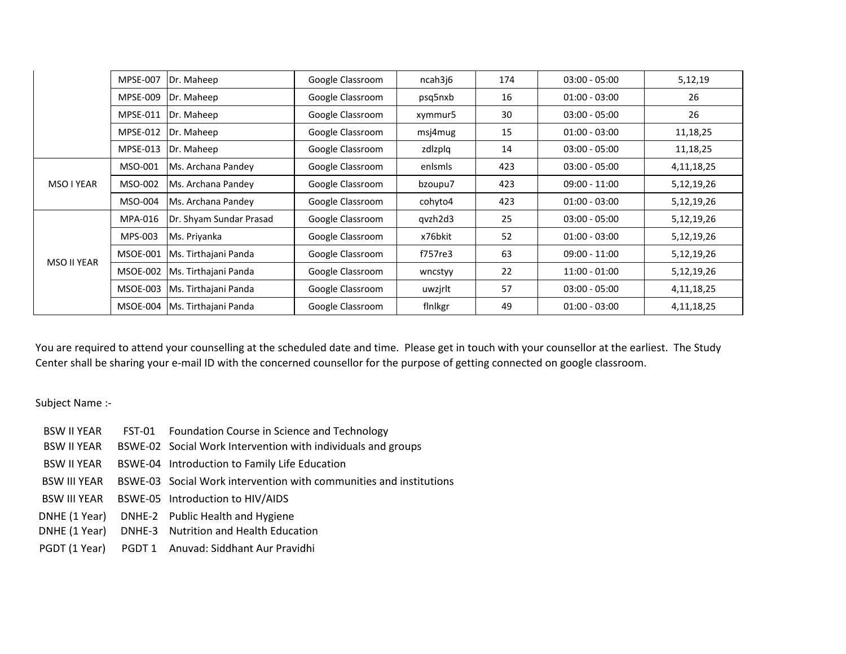|                    | <b>MPSE-007</b> | Dr. Maheep                      | Google Classroom | ncah3j6 | 174 | $03:00 - 05:00$ | 5,12,19       |
|--------------------|-----------------|---------------------------------|------------------|---------|-----|-----------------|---------------|
|                    | MPSE-009        | Dr. Maheep                      | Google Classroom | psq5nxb | 16  | $01:00 - 03:00$ | 26            |
|                    | <b>MPSE-011</b> | Dr. Maheep                      | Google Classroom | xymmur5 | 30  | $03:00 - 05:00$ | 26            |
|                    | MPSE-012        | Dr. Maheep                      | Google Classroom | msj4mug | 15  | $01:00 - 03:00$ | 11,18,25      |
|                    | MPSE-013        | Dr. Maheep                      | Google Classroom | zdlzplq | 14  | $03:00 - 05:00$ | 11,18,25      |
| MSO I YEAR         | MSO-001         | Ms. Archana Pandey              | Google Classroom | enlsmls | 423 | $03:00 - 05:00$ | 4,11,18,25    |
|                    | MSO-002         | Ms. Archana Pandey              | Google Classroom | bzoupu7 | 423 | $09:00 - 11:00$ | 5,12,19,26    |
|                    | MSO-004         | Ms. Archana Pandey              | Google Classroom | cohyto4 | 423 | $01:00 - 03:00$ | 5,12,19,26    |
| <b>MSO II YEAR</b> | MPA-016         | Dr. Shyam Sundar Prasad         | Google Classroom | qvzh2d3 | 25  | $03:00 - 05:00$ | 5,12,19,26    |
|                    | MPS-003         | Ms. Priyanka                    | Google Classroom | x76bkit | 52  | $01:00 - 03:00$ | 5,12,19,26    |
|                    | MSOE-001        | Ms. Tirthajani Panda            | Google Classroom | f757re3 | 63  | $09:00 - 11:00$ | 5,12,19,26    |
|                    | MSOE-002        | Ms. Tirthajani Panda            | Google Classroom | wncstyy | 22  | $11:00 - 01:00$ | 5,12,19,26    |
|                    |                 | MSOE-003   Ms. Tirthajani Panda | Google Classroom | uwzjrlt | 57  | $03:00 - 05:00$ | 4,11,18,25    |
|                    | MSOE-004        | Ms. Tirthajani Panda            | Google Classroom | finlkgr | 49  | $01:00 - 03:00$ | 4, 11, 18, 25 |

You are required to attend your counselling at the scheduled date and time. Please get in touch with your counsellor at the earliest. The Study Center shall be sharing your e-mail ID with the concerned counsellor for the purpose of getting connected on google classroom.

Subject Name :-

- BSW II YEAR FST-01 Foundation Course in Science and Technology
- BSW II YEAR BSWE-02 Social Work Intervention with individuals and groups
- BSW II YEAR BSWE-04 Introduction to Family Life Education
- BSW III YEAR BSWE-03 Social Work intervention with communities and institutions
- BSW III YEAR BSWE-05 Introduction to HIV/AIDS
- DNHE (1 Year) DNHE-2 Public Health and Hygiene
- DNHE (1 Year) DNHE-3 Nutrition and Health Education
- PGDT (1 Year) PGDT 1 Anuvad: Siddhant Aur Pravidhi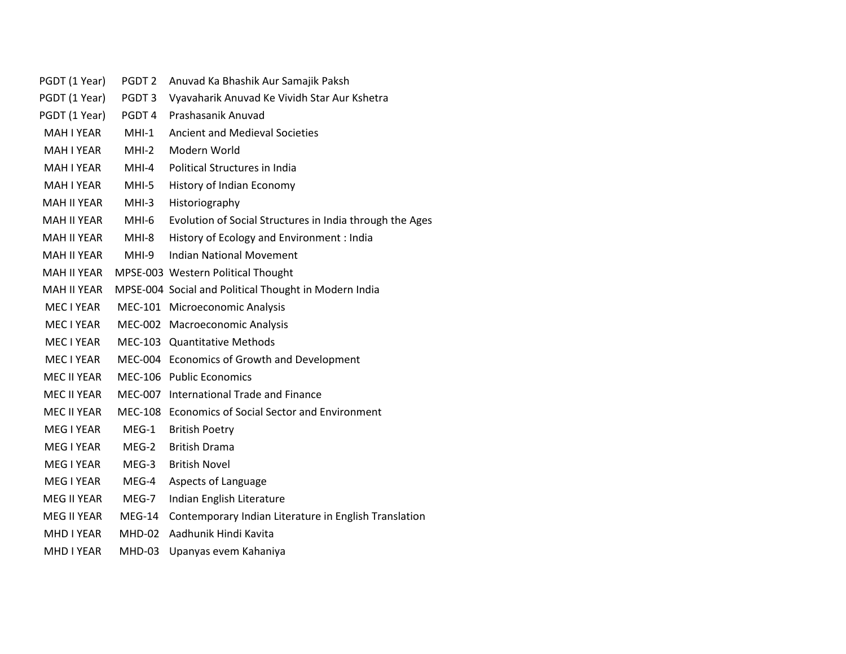| PGDT (1 Year)      | PGDT <sub>2</sub> | Anuvad Ka Bhashik Aur Samajik Paksh                      |
|--------------------|-------------------|----------------------------------------------------------|
| PGDT (1 Year)      | PGDT3             | Vyavaharik Anuvad Ke Vividh Star Aur Kshetra             |
| PGDT (1 Year)      | PGDT4             | Prashasanik Anuvad                                       |
| <b>MAH I YEAR</b>  | $MHI-1$           | <b>Ancient and Medieval Societies</b>                    |
| MAH I YEAR         | MHI-2             | Modern World                                             |
| <b>MAH I YEAR</b>  | MHI-4             | Political Structures in India                            |
| <b>MAH I YEAR</b>  | MHI-5             | History of Indian Economy                                |
| <b>MAH II YEAR</b> | MHI-3             | Historiography                                           |
| <b>MAH II YEAR</b> | MHI-6             | Evolution of Social Structures in India through the Ages |
| MAH II YEAR        | MHI-8             | History of Ecology and Environment : India               |
| MAH II YEAR        | MHI-9             | <b>Indian National Movement</b>                          |
| <b>MAH II YEAR</b> |                   | MPSE-003 Western Political Thought                       |
| MAH II YEAR        |                   | MPSE-004 Social and Political Thought in Modern India    |
| MEC I YEAR         |                   | MEC-101 Microeconomic Analysis                           |
| MEC I YEAR         |                   | MEC-002 Macroeconomic Analysis                           |
| MEC I YEAR         |                   | MEC-103 Quantitative Methods                             |
| MEC I YEAR         |                   | MEC-004 Economics of Growth and Development              |
| MEC II YEAR        |                   | MEC-106 Public Economics                                 |
| MEC II YEAR        |                   | MEC-007 International Trade and Finance                  |
| MEC II YEAR        |                   | MEC-108 Economics of Social Sector and Environment       |
| MEG I YEAR         | $MEG-1$           | <b>British Poetry</b>                                    |
| <b>MEG I YEAR</b>  | $MEG-2$           | <b>British Drama</b>                                     |
| <b>MEG I YEAR</b>  | MEG-3             | <b>British Novel</b>                                     |
| MEG I YEAR         | MEG-4             | Aspects of Language                                      |
| MEG II YEAR        | MEG-7             | Indian English Literature                                |
| MEG II YEAR        | $MEG-14$          | Contemporary Indian Literature in English Translation    |
| MHD I YEAR         | MHD-02            | Aadhunik Hindi Kavita                                    |
| <b>MHD I YEAR</b>  | MHD-03            | Upanyas evem Kahaniya                                    |
|                    |                   |                                                          |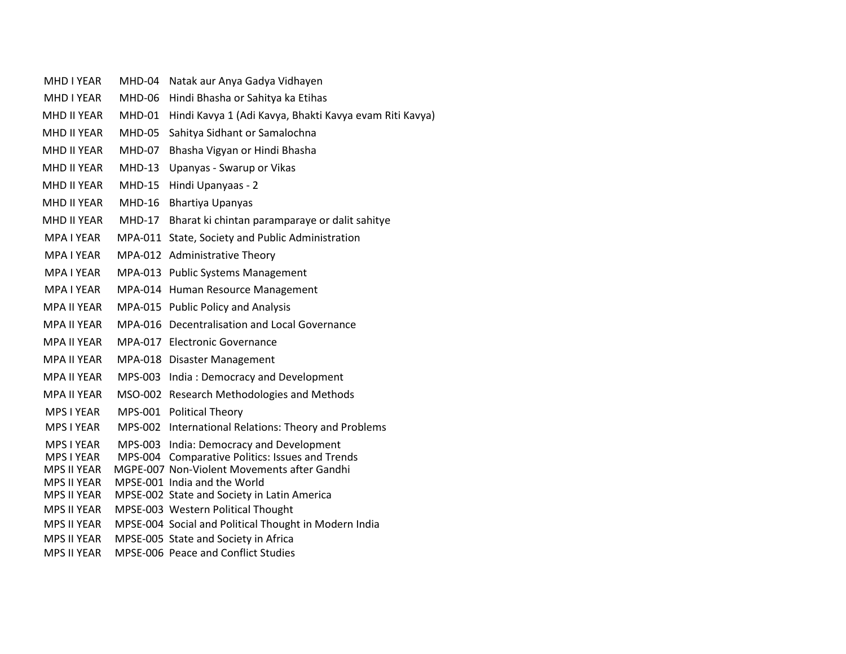| <b>MHD I YEAR</b>                       | MHD-04        | Natak aur Anya Gadya Vidhayen                                                                 |
|-----------------------------------------|---------------|-----------------------------------------------------------------------------------------------|
| <b>MHD I YEAR</b>                       | MHD-06        | Hindi Bhasha or Sahitya ka Etihas                                                             |
| MHD II YEAR                             | MHD-01        | Hindi Kavya 1 (Adi Kavya, Bhakti Kavya evam Riti Kavya)                                       |
| <b>MHD II YEAR</b>                      | MHD-05        | Sahitya Sidhant or Samalochna                                                                 |
| MHD II YEAR                             | <b>MHD-07</b> | Bhasha Vigyan or Hindi Bhasha                                                                 |
| MHD II YEAR                             | $MHD-13$      | Upanyas - Swarup or Vikas                                                                     |
| MHD II YEAR                             | <b>MHD-15</b> | Hindi Upanyaas - 2                                                                            |
| MHD II YEAR                             | <b>MHD-16</b> | Bhartiya Upanyas                                                                              |
| MHD II YEAR                             | <b>MHD-17</b> | Bharat ki chintan paramparaye or dalit sahitye                                                |
| <b>MPA I YEAR</b>                       | MPA-011       | State, Society and Public Administration                                                      |
| <b>MPA I YEAR</b>                       | MPA-012       | <b>Administrative Theory</b>                                                                  |
| <b>MPA I YEAR</b>                       | MPA-013       | <b>Public Systems Management</b>                                                              |
| <b>MPA I YEAR</b>                       |               | MPA-014 Human Resource Management                                                             |
| <b>MPA II YEAR</b>                      |               | MPA-015 Public Policy and Analysis                                                            |
| <b>MPA II YEAR</b>                      | MPA-016       | Decentralisation and Local Governance                                                         |
| MPA II YEAR                             |               | MPA-017 Electronic Governance                                                                 |
| <b>MPA II YEAR</b>                      |               | MPA-018 Disaster Management                                                                   |
| <b>MPA II YEAR</b>                      | MPS-003       | India: Democracy and Development                                                              |
| MPA II YEAR                             |               | MSO-002 Research Methodologies and Methods                                                    |
| <b>MPS I YEAR</b>                       |               | MPS-001 Political Theory                                                                      |
| <b>MPS I YEAR</b>                       |               | MPS-002 International Relations: Theory and Problems                                          |
| MPS I YEAR                              | MPS-003       | India: Democracy and Development                                                              |
| <b>MPS I YEAR</b><br><b>MPS II YEAR</b> | MPS-004       | <b>Comparative Politics: Issues and Trends</b><br>MGPE-007 Non-Violent Movements after Gandhi |
| <b>MPS II YEAR</b>                      |               | MPSE-001 India and the World                                                                  |
| <b>MPS II YEAR</b>                      |               | MPSE-002 State and Society in Latin America                                                   |
| <b>MPS II YEAR</b>                      |               | MPSE-003 Western Political Thought                                                            |
| <b>MPS II YEAR</b>                      |               | MPSE-004 Social and Political Thought in Modern India                                         |
| <b>MPS II YEAR</b>                      |               | MPSE-005 State and Society in Africa                                                          |
| <b>MPS II YEAR</b>                      |               | MPSE-006 Peace and Conflict Studies                                                           |
|                                         |               |                                                                                               |